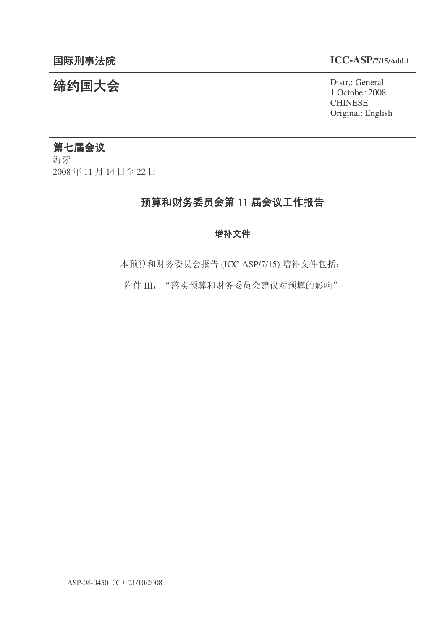### 䰙ߥџ⊩䰶 **ICC-ASP/7/15/Add.1**

### 统约国大会<br>
1.0stst.: General

1 October 2008 **CHINESE** Original: English

### 第七届会议

海牙 2008年11月14日至22日

### 预算和财务委员会第 11 届会议工作报告

### 增补文件

本预算和财务委员会报告 (ICC-ASP/7/15) 增补文件包括:

附件 III, "落实预算和财务委员会建议对预算的影响"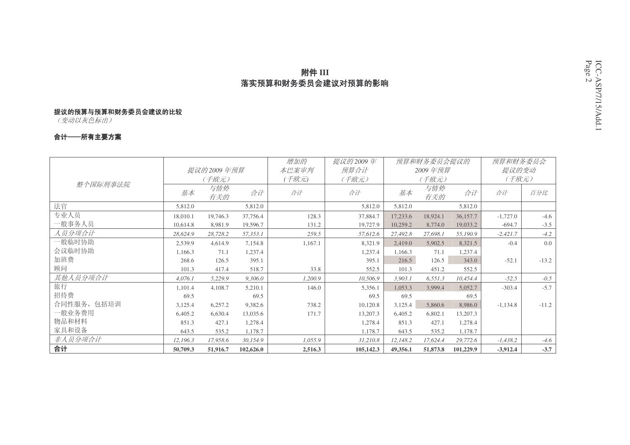### **附件 III**  $^{98}$ 落实预算和财务委员会建议对预算的影响

#### 提议的预算与预算和财务委员会建议的比较

(变动以灰色标出)

#### 合计──所有主要方案

|             |          |              |           | 增加的     | 提议的2009年  |          | 预算和财务委员会提议的 |           | 预算和财务委员会   |         |
|-------------|----------|--------------|-----------|---------|-----------|----------|-------------|-----------|------------|---------|
|             |          | 提议的 2009 年预算 |           | 本巴案审判   | 预算合计      |          | 2009年预算     |           | 提议的变动      |         |
|             |          | (千欧元)        |           | ( 千欧元)  | (千欧元)     |          | (千欧元)       |           | (千欧元)      |         |
| 整个国际刑事法院    | 基本       | 与情势<br>有关的   | 合计        | 合计      | 合计        | 基本       | 与情势<br>有关的  | 合计        | 合计         | 百分比     |
| 法官          | 5,812.0  |              | 5,812.0   |         | 5,812.0   | 5,812.0  |             | 5,812.0   |            |         |
| 专业人员        | 18,010.1 | 19,746.3     | 37,756.4  | 128.3   | 37,884.7  | 17,233.6 | 18,924.1    | 36,157.7  | $-1,727.0$ | $-4.6$  |
| 一般事务人员      | 10,614.8 | 8,981.9      | 19,596.7  | 131.2   | 19,727.9  | 10,259.2 | 8,774.0     | 19,033.2  | $-694.7$   | $-3.5$  |
| 人员分项合计      | 28,624.9 | 28,728.2     | 57,353.1  | 259.5   | 57,612.6  | 27,492.8 | 27,698.1    | 55,190.9  | $-2,421.7$ | $-4.2$  |
| 一般临时协助      | 2,539.9  | 4,614.9      | 7,154.8   | 1,167.1 | 8,321.9   | 2.419.0  | 5,902.5     | 8,321.5   | $-0.4$     | 0.0     |
| 会议临时协助      | 1,166.3  | 71.1         | 1,237.4   |         | 1,237.4   | 1,166.3  | 71.1        | 1,237.4   |            |         |
| 加班费         | 268.6    | 126.5        | 395.1     |         | 395.1     | 216.5    | 126.5       | 343.0     | $-52.1$    | $-13.2$ |
| 顾问          | 101.3    | 417.4        | 518.7     | 33.8    | 552.5     | 101.3    | 451.2       | 552.5     |            |         |
| 其他人员分项合计    | 4.076.1  | 5,229.9      | 9.306.0   | 1,200.9 | 10,506.9  | 3.903.1  | 6,551.3     | 10.454.4  | $-52.5$    | $-0.5$  |
| 旅行          | 1,101.4  | 4,108.7      | 5,210.1   | 146.0   | 5,356.1   | 1,053.3  | 3.999.4     | 5,052.7   | $-303.4$   | $-5.7$  |
| 招待费         | 69.5     |              | 69.5      |         | 69.5      | 69.5     |             | 69.5      |            |         |
| 合同性服务, 包括培训 | 3,125.4  | 6,257.2      | 9,382.6   | 738.2   | 10,120.8  | 3,125.4  | 5,860.6     | 8,986.0   | $-1,134.8$ | $-11.2$ |
| 一般业务费用      | 6,405.2  | 6,630.4      | 13,035.6  | 171.7   | 13,207.3  | 6,405.2  | 6,802.1     | 13,207.3  |            |         |
| 物品和材料       | 851.3    | 427.1        | 1,278.4   |         | 1,278.4   | 851.3    | 427.1       | 1,278.4   |            |         |
| 家具和设备       | 643.5    | 535.2        | 1,178.7   |         | 1,178.7   | 643.5    | 535.2       | 1,178.7   |            |         |
| 非人员分项合计     | 12,196.3 | 17,958.6     | 30,154.9  | 1,055.9 | 31,210.8  | 12,148.2 | 17,624.4    | 29,772.6  | $-1,438.2$ | $-4.6$  |
| 合计          | 50,709.3 | 51,916.7     | 102,626.0 | 2,516.3 | 105,142.3 | 49,356.1 | 51,873.8    | 101,229.9 | $-3,912.4$ | $-3.7$  |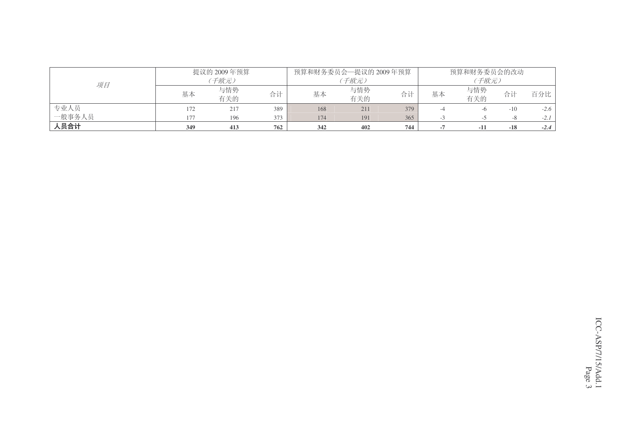|        |     | 提议的 2009年预算 |     |     | 预算和财务委员会—提议的 2009年预算 |     |    | 预算和财务委员会的改动 |       |        |
|--------|-----|-------------|-----|-----|----------------------|-----|----|-------------|-------|--------|
| 项目     |     | 子欧元)        |     |     | 千欧元)                 |     |    | 子欧元)        |       |        |
|        | 基本  | 与情势<br>有关的  | 合计  | 基本  | 与情势<br>有关的           | 合计  | 基本 | 与情势<br>有关的  | 合计    | 百分比    |
| 专业人员   | 172 | 217         | 389 | 168 | 211                  | 379 |    | -6          | $-10$ | $-2.6$ |
| 一般事务人员 | 177 | 196         | 373 | 174 | 191                  | 365 |    |             |       | $-2.1$ |
| 人员合计   | 349 | 413         | 762 | 342 | 402                  | 744 |    | $-11$       | $-18$ | $-2.4$ |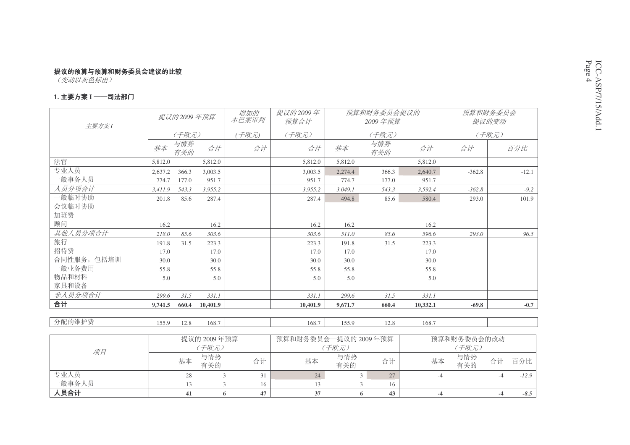#### 1. 主要方案 I ──司法部门

| 主要方案1       |         | 提议的2009年预算 |             | 增加的<br>本巴案审判 | 提议的2009年<br>预算合计     |            | 预算和财务委员会提议的<br>2009年预算 |          | 预算和财务委员会    | 提议的变动 |         |
|-------------|---------|------------|-------------|--------------|----------------------|------------|------------------------|----------|-------------|-------|---------|
|             |         | (千欧元)      |             | (千欧元)        | (千欧元)                |            | (千欧元)                  |          |             | (千欧元) |         |
|             | 基本      | 与情势<br>有关的 | 合计          | 合计           | 合计                   | 基本         | 与情势<br>有关的             | 合计       | 合计          |       | 百分比     |
| 法官          | 5,812.0 |            | 5,812.0     |              | 5,812.0              | 5,812.0    |                        | 5,812.0  |             |       |         |
| 专业人员        | 2,637.2 | 366.3      | 3,003.5     |              | 3.003.5              | 2,274.4    | 366.3                  | 2,640.7  | $-362.8$    |       | $-12.1$ |
| 一般事务人员      | 774.7   | 177.0      | 951.7       |              | 951.7                | 774.7      | 177.0                  | 951.7    |             |       |         |
| 人员分项合计      | 3,411.9 | 543.3      | 3,955.2     |              | 3,955.2              | 3,049.1    | 543.3                  | 3,592.4  | $-362.8$    |       | $-9.2$  |
| 我临时协助       | 201.8   | 85.6       | 287.4       |              | 287.4                | 494.8      | 85.6                   | 580.4    | 293.0       |       | 101.9   |
| 会议临时协助      |         |            |             |              |                      |            |                        |          |             |       |         |
| 加班费         |         |            |             |              |                      |            |                        |          |             |       |         |
| 顾问          | 16.2    |            | 16.2        |              | 16.2                 | 16.2       |                        | 16.2     |             |       |         |
| 其他人员分项合计    | 218.0   | 85.6       | 303.6       |              | 303.6                | 511.0      | 85.6                   | 596.6    | 293.0       |       | 96.5    |
| 旅行          | 191.8   | 31.5       | 223.3       |              | 223.3                | 191.8      | 31.5                   | 223.3    |             |       |         |
| 招待费         | 17.0    |            | 17.0        |              | 17.0                 | 17.0       |                        | 17.0     |             |       |         |
| 合同性服务, 包括培训 | 30.0    |            | 30.0        |              | 30.0                 | 30.0       |                        | 30.0     |             |       |         |
| 一般业务费用      | 55.8    |            | 55.8        |              | 55.8                 | 55.8       |                        | 55.8     |             |       |         |
| 物品和材料       | 5.0     |            | 5.0         |              | 5.0                  | 5.0        |                        | 5.0      |             |       |         |
| 家具和设备       |         |            |             |              |                      |            |                        |          |             |       |         |
| 非人员分项合计     | 299.6   | 31.5       | 331.1       |              | 331.1                | 299.6      | 31.5                   | 331.1    |             |       |         |
| 合计          | 9,741.5 | 660.4      | 10,401.9    |              | 10,401.9             | 9,671.7    | 660.4                  | 10,332.1 | $-69.8$     |       | $-0.7$  |
| 分配的维护费      |         |            |             |              |                      |            |                        |          |             |       |         |
|             | 155.9   | 12.8       | 168.7       |              | 168.7                | 155.9      | 12.8                   | 168.7    |             |       |         |
|             |         |            | 提议的 2009年预算 |              | 预算和财务委员会一提议的 2009年预算 |            |                        |          | 预算和财务委员会的改动 |       |         |
|             |         |            | (千欧元)       |              |                      | (千欧元)      |                        |          | (千欧元)       |       |         |
| 项目          |         | 基本         | 与情势<br>有关的  | 合计           | 基本                   | 与情势<br>有关的 | 合计                     | 基本       | 与情势<br>有关的  | 合计    | 百分比     |
| 专业人员        |         | 28         |             | 3<br>31      | 24                   |            | 3 <sup>1</sup><br>27   |          | $-4$        | $-4$  | $-12.9$ |
| 一般事务人员      |         | 13         |             | 3<br>16      | 13                   |            | 3<br>16                |          |             |       |         |
| 人员合计        |         | 41         |             | 47<br>6      | 37                   |            | 43<br>6                |          | $-4$        | $-4$  | $-8.5$  |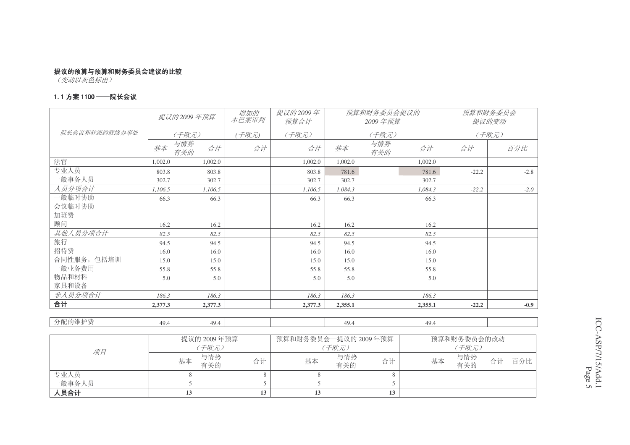#### 1. 1 方案 1100 ——院长会议

|               |         | 提议的2009年预算       | 增加的<br>本巴案审判 | 提议的2009年<br>预算合计    |            | 预算和财务委员会提议的<br>2009年预算 |         |             | 预算和财务委员会<br>提议的变动 |
|---------------|---------|------------------|--------------|---------------------|------------|------------------------|---------|-------------|-------------------|
| 院长会议和驻纽约联络办事处 |         | (千欧元)            | (千欧元)        | (千欧元)               |            | (千欧元)                  |         |             | (千欧元)             |
|               | 基本      | 与情势<br>合计<br>有关的 | 合计           | 合计                  | 基本         | 与情势<br>有关的             | 合计      | 合计          | 百分比               |
| 法官            | 1,002.0 | 1,002.0          |              | 1.002.0             | 1,002.0    |                        | 1,002.0 |             |                   |
| 专业人员          | 803.8   | 803.8            |              | 803.8               | 781.6      |                        | 781.6   | $-22.2$     | $-2.8$            |
| 一般事务人员        | 302.7   | 302.7            |              | 302.7               | 302.7      |                        | 302.7   |             |                   |
| 人员分项合计        | 1,106.5 | 1,106.5          |              | 1,106.5             | 1,084.3    |                        | 1,084.3 | $-22.2$     | $-2.0$            |
| 一般临时协助        | 66.3    | 66.3             |              | 66.3                | 66.3       |                        | 66.3    |             |                   |
| 会议临时协助        |         |                  |              |                     |            |                        |         |             |                   |
| 加班费           |         |                  |              |                     |            |                        |         |             |                   |
| 顾问            | 16.2    | 16.2             |              | 16.2                | 16.2       |                        | 16.2    |             |                   |
| 其他人员分项合计      | 82.5    | 82.5             |              | 82.5                | 82.5       |                        | 82.5    |             |                   |
| 旅行            | 94.5    | 94.5             |              | 94.5                | 94.5       |                        | 94.5    |             |                   |
| 招待费           | 16.0    | 16.0             |              | 16.0                | 16.0       |                        | 16.0    |             |                   |
| 合同性服务, 包括培训   | 15.0    | 15.0             |              | 15.0                | 15.0       |                        | 15.0    |             |                   |
| 一般业务费用        | 55.8    | 55.8             |              | 55.8                | 55.8       |                        | 55.8    |             |                   |
| 物品和材料         | 5.0     | 5.0              |              | 5.0                 | 5.0        |                        | 5.0     |             |                   |
| 家具和设备         |         |                  |              |                     |            |                        |         |             |                   |
| 非人员分项合计       | 186.3   | 186.3            |              | 186.3               | 186.3      |                        | 186.3   |             |                   |
| 合计            | 2,377.3 | 2,377.3          |              | 2,377.3             | 2,355.1    |                        | 2,355.1 | $-22.2$     | $-0.9$            |
|               |         |                  |              |                     |            |                        |         |             |                   |
| 分配的维护费        | 49.4    | 49.4             |              |                     | 49.4       |                        | 49.4    |             |                   |
|               |         |                  |              |                     |            |                        |         |             |                   |
|               |         | 提议的 2009年预算      |              | 预算和财务委员会一提议的2009年预算 |            |                        |         | 预算和财务委员会的改动 |                   |
| 项目            |         | (千欧元)            |              |                     | (千欧元)      |                        |         | (千欧元)       |                   |
|               |         | 与情势<br>基本<br>有关的 | 合计           | 基本                  | 与情势<br>有关的 | 合计                     | 基本      | 与情势<br>有关的  | 合计<br>百分比         |
| 专业人员          |         | 8                | 8            | 8                   |            | 8                      |         |             |                   |
| 一般事务人员        |         | 5                | 5            | 5                   |            | 5                      |         |             |                   |
| 人员合计          |         | 13               | 13           | 13                  |            | 13                     |         |             |                   |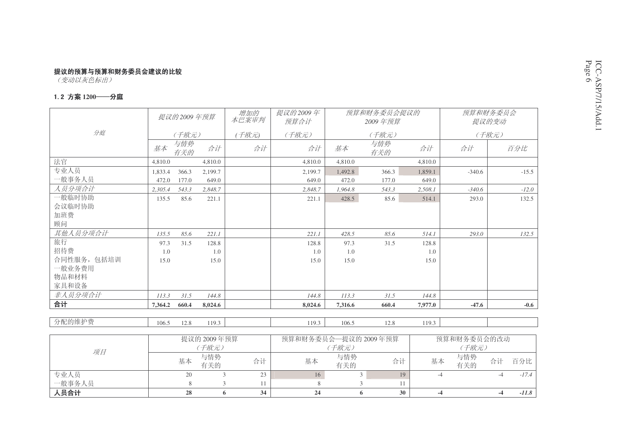————————————————————<br>(变动以灰色标出)

#### 1.2 方案 1200──分庭

一般事务人员

入员合计

|             |         | 提议的2009年预算 |                      | 增加的<br>本巴案审判 | 提议的2009年<br>预算合计     |            | 预算和财务委员会提议的<br>2009年预算 |         |                      | 预算和财务委员会<br>提议的变动 |         |
|-------------|---------|------------|----------------------|--------------|----------------------|------------|------------------------|---------|----------------------|-------------------|---------|
| 分庭          |         | (千欧元)      |                      | (千欧元)        | (千欧元)                |            | (千欧元)                  |         |                      | (千欧元)             |         |
|             | 基本      | 与情势<br>有关的 | 合计                   | 合计           | 合计                   | 基本         | 与情势<br>有关的             | 合计      | 合计                   |                   | 百分比     |
| 法官          | 4,810.0 |            | 4,810.0              |              | 4,810.0              | 4,810.0    |                        | 4.810.0 |                      |                   |         |
| 专业人员        | 1,833.4 | 366.3      | 2,199.7              |              | 2,199.7              | 1,492.8    | 366.3                  | 1,859.1 | $-340.6$             |                   | $-15.5$ |
| -般事务人员      | 472.0   | 177.0      | 649.0                |              | 649.0                | 472.0      | 177.0                  | 649.0   |                      |                   |         |
| 人员分项合计      | 2,305.4 | 543.3      | 2,848.7              |              | 2,848.7              | 1,964.8    | 543.3                  | 2,508.1 | $-340.6$             |                   | $-12.0$ |
| 一般临时协助      | 135.5   | 85.6       | 221.1                |              | 221.1                | 428.5      | 85.6                   | 514.1   | 293.0                |                   | 132.5   |
| 会议临时协助      |         |            |                      |              |                      |            |                        |         |                      |                   |         |
| 加班费         |         |            |                      |              |                      |            |                        |         |                      |                   |         |
| 顾问          |         |            |                      |              |                      |            |                        |         |                      |                   |         |
| 其他人员分项合计    | 135.5   | 85.6       | 221.1                |              | 221.1                | 428.5      | 85.6                   | 514.1   | 293.0                |                   | 132.5   |
| 旅行          | 97.3    | 31.5       | 128.8                |              | 128.8                | 97.3       | 31.5                   | 128.8   |                      |                   |         |
| 招待费         | 1.0     |            | 1.0                  |              | 1.0                  | 1.0        |                        | 1.0     |                      |                   |         |
| 合同性服务, 包括培训 | 15.0    |            | 15.0                 |              | 15.0                 | 15.0       |                        | 15.0    |                      |                   |         |
| 一般业务费用      |         |            |                      |              |                      |            |                        |         |                      |                   |         |
| 物品和材料       |         |            |                      |              |                      |            |                        |         |                      |                   |         |
| 家具和设备       |         |            |                      |              |                      |            |                        |         |                      |                   |         |
| 非人员分项合计     | 113.3   | 31.5       | 144.8                |              | 144.8                | 113.3      | 31.5                   | 144.8   |                      |                   |         |
| 合计          | 7,364.2 | 660.4      | 8,024.6              |              | 8.024.6              | 7.316.6    | 660.4                  | 7,977.0 | $-47.6$              |                   | $-0.6$  |
|             |         |            |                      |              |                      |            |                        |         |                      |                   |         |
| 分配的维护费      | 106.5   | 12.8       | 119.3                |              | 119.3                | 106.5      | 12.8                   | 119.3   |                      |                   |         |
|             |         |            |                      |              |                      |            |                        |         |                      |                   |         |
| 项目          |         |            | 提议的 2009年预算<br>(千欧元) |              | 预算和财务委员会一提议的 2009年预算 | (千欧元)      |                        |         | 预算和财务委员会的改动<br>(千欧元) |                   |         |
|             |         | 基本         | 与情势<br>有关的           | 合计           | 基本                   | 与情势<br>有关的 | 合计                     | 基本      | 与情势<br>有关的           | 合计                | 百分比     |
| 专业人员        |         | 20         |                      | 23<br>3      | 16                   |            | 19<br>$\mathfrak{Z}$   |         | $-4$                 | $-4$              | $-17.4$ |

**28 6 34 24 6 30 -4 -4** *-11.8*

员 8 3 11 | 8 3 11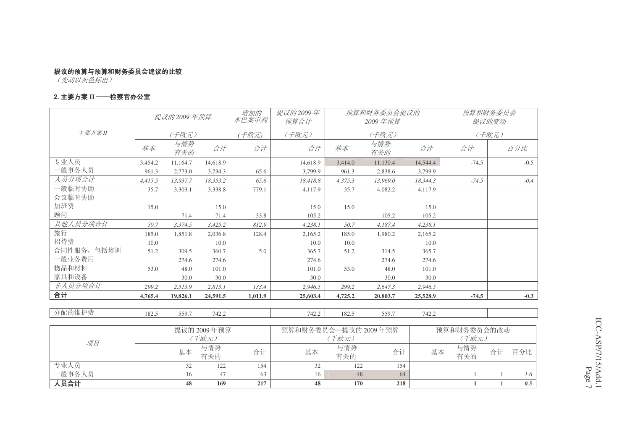#### 2. 主要方案 II ──检察官办公室

|             |         | 提议的 2009 年预算 |                                                                               | 增加的<br>本巴案审判 | 提议的2009年<br>预算合计     |         | 预算和财务委员会提议的<br>2009年预算 |          |                      | 预算和财务委员会<br>提议的变动 |
|-------------|---------|--------------|-------------------------------------------------------------------------------|--------------|----------------------|---------|------------------------|----------|----------------------|-------------------|
| 主要方案II      |         | (千欧元)        |                                                                               | 千欧元)         | (千欧元)                |         | (千欧元)                  |          |                      | (千欧元)             |
|             | 基本      | 与情势<br>有关的   | 合计                                                                            | 合计           | 合计                   | 基本      | 与情势<br>有关的             | 合计       | 合计                   | 百分比               |
| 专业人员        | 3.454.2 | 11.164.7     | 14.618.9                                                                      |              | 14.618.9             | 3.414.0 | 11,130.4               | 14.544.4 | $-74.5$              | $-0.5$            |
| -般事务人员      | 961.3   | 2,773.0      | 3,734.3                                                                       | 65.6         | 3.799.9              | 961.3   | 2.838.6                | 3,799.9  |                      |                   |
| 人员分项合计      | 4,415.5 | 13,937.7     | 18,353.2                                                                      | 65.6         | 18,418.8             | 4,375.3 | 13,969.0               | 18,344.3 | $-74.5$              | $-0.4$            |
| 一般临时协助      | 35.7    | 3,303.1      | 3.338.8                                                                       | 779.1        | 4.117.9              | 35.7    | 4.082.2                | 4,117.9  |                      |                   |
| 会议临时协助      |         |              |                                                                               |              |                      |         |                        |          |                      |                   |
| 加班费         | 15.0    |              | 15.0                                                                          |              | 15.0                 | 15.0    |                        | 15.0     |                      |                   |
| 顾问          |         | 71.4         | 71.4                                                                          | 33.8         | 105.2                |         | 105.2                  | 105.2    |                      |                   |
| 其他人员分项合计    | 50.7    | 3,374.5      | 3,425.2                                                                       | 812.9        | 4,238.1              | 50.7    | 4,187.4                | 4,238.1  |                      |                   |
| 旅行          | 185.0   | 1,851.8      | 2,036.8                                                                       | 128.4        | 2,165.2              | 185.0   | 1,980.2                | 2,165.2  |                      |                   |
| 招待费         | 10.0    |              | 10.0                                                                          |              | 10.0                 | 10.0    |                        | 10.0     |                      |                   |
| 合同性服务, 包括培训 | 51.2    | 309.5        | 360.7                                                                         | 5.0          | 365.7                | 51.2    | 314.5                  | 365.7    |                      |                   |
| 一般业务费用      |         | 274.6        | 274.6                                                                         |              | 274.6                |         | 274.6                  | 274.6    |                      |                   |
| 物品和材料       | 53.0    | 48.0         | 101.0                                                                         |              | 101.0                | 53.0    | 48.0                   | 101.0    |                      |                   |
| 家具和设备       |         | 30.0         | 30.0                                                                          |              | 30.0                 |         | 30.0                   | 30.0     |                      |                   |
| 非人员分项合计     | 299.2   | 2,513.9      | 2,813.1                                                                       | 133.4        | 2,946.5              | 299.2   | 2,647.3                | 2,946.5  |                      |                   |
| 合计          | 4,765.4 | 19,826.1     | 24,591.5                                                                      | 1,011.9      | 25,603.4             | 4,725.2 | 20,803.7               | 25,528.9 | $-74.5$              | $-0.3$            |
| 分配的维护费      | 182.5   | 559.7        | 742.2                                                                         |              | 742.2                | 182.5   | 559.7                  | 742.2    |                      |                   |
|             |         |              | 提议的 2009年预算<br>$($ $\mathcal{F}$ $\mathbb{R}$ $\mathcal{F}$ $\mathcal{F}$ $)$ |              | 预算和财务委员会—提议的 2009年预算 | (千麻元)   |                        |          | 预算和财务委员会的改动<br>(千麻元) |                   |

|             |    | 提议的 2009年预算 |     | 预算和财务委员会—提议的 2009年预算 |            |     | 预算和财务委员会的改动      |    |     |
|-------------|----|-------------|-----|----------------------|------------|-----|------------------|----|-----|
| 项目          |    | 子欧元)        |     |                      | 子欧元)       |     | (千欧元)            |    |     |
|             | 基本 | 与情势<br>有关的  | 合计  | 基本                   | 与情势<br>有关的 | 合计  | 与情势<br>基本<br>有关的 | 合计 | 百分比 |
| 专业人员        |    | 122         | 154 | 32                   | 122        | 154 |                  |    |     |
| 一般事务人员      | Iб | 47          | 63  | 16                   | 48         | 64  |                  |    | 1.6 |
| <b>、员合计</b> | 48 | 169         | 217 | 48                   | 170        | 218 |                  |    | 0.5 |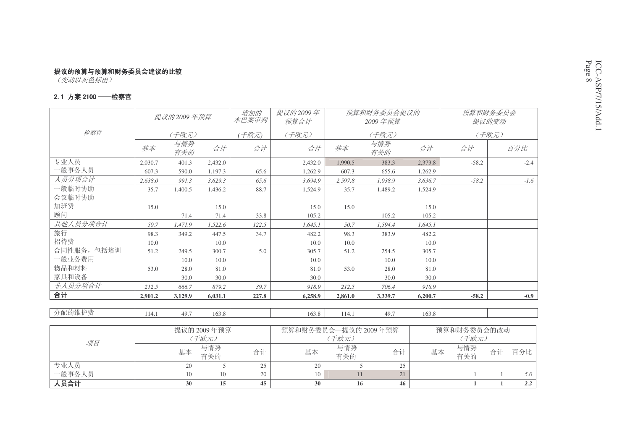————————————————————<br>(变动以灰色标出)

#### 2.1 方案 2100 ――检察官

|             |         |              |         | 增加的   | 提议的2009年 |         | 预算和财务委员会提议的 |         |         | 预算和财务委员会 |
|-------------|---------|--------------|---------|-------|----------|---------|-------------|---------|---------|----------|
|             |         | 提议的 2009 年预算 |         | 本巴案审判 | 预算合计     |         | 2009年预算     |         |         | 提议的变动    |
| 检察官         |         | (千欧元)        |         | 干欧元)  | (千欧元)    |         | (千欧元)       |         |         | (千欧元)    |
|             | 基本      | 与情势<br>有关的   | 合计      | 合计    | 合计       | 基本      | 与情势<br>有关的  | 合计      | 合计      | 百分比      |
| 专业人员        | 2.030.7 | 401.3        | 2.432.0 |       | 2,432.0  | 1.990.5 | 383.3       | 2,373.8 | $-58.2$ | $-2.4$   |
| 一般事务人员      | 607.3   | 590.0        | 1,197.3 | 65.6  | 1,262.9  | 607.3   | 655.6       | 1,262.9 |         |          |
| 人员分项合计      | 2,638.0 | 991.3        | 3,629.3 | 65.6  | 3,694.9  | 2,597.8 | 1,038.9     | 3,636.7 | $-58.2$ | $-1.6$   |
| 一般临时协助      | 35.7    | 1,400.5      | 1,436.2 | 88.7  | 1,524.9  | 35.7    | 1,489.2     | 1,524.9 |         |          |
| 会议临时协助      |         |              |         |       |          |         |             |         |         |          |
| 加班费         | 15.0    |              | 15.0    |       | 15.0     | 15.0    |             | 15.0    |         |          |
| 顾问          |         | 71.4         | 71.4    | 33.8  | 105.2    |         | 105.2       | 105.2   |         |          |
| 其他人员分项合计    | 50.7    | 1,471.9      | 1,522.6 | 122.5 | 1,645.1  | 50.7    | 1,594.4     | 1.645.1 |         |          |
| 旅行          | 98.3    | 349.2        | 447.5   | 34.7  | 482.2    | 98.3    | 383.9       | 482.2   |         |          |
| 招待费         | 10.0    |              | 10.0    |       | 10.0     | 10.0    |             | 10.0    |         |          |
| 合同性服务, 包括培训 | 51.2    | 249.5        | 300.7   | 5.0   | 305.7    | 51.2    | 254.5       | 305.7   |         |          |
| 一般业务费用      |         | 10.0         | 10.0    |       | 10.0     |         | 10.0        | 10.0    |         |          |
| 物品和材料       | 53.0    | 28.0         | 81.0    |       | 81.0     | 53.0    | 28.0        | 81.0    |         |          |
| 家具和设备       |         | 30.0         | 30.0    |       | 30.0     |         | 30.0        | 30.0    |         |          |
| 非人员分项合计     | 212.5   | 666.7        | 879.2   | 39.7  | 918.9    | 212.5   | 706.4       | 918.9   |         |          |
| 合计          | 2.901.2 | 3,129.9      | 6.031.1 | 227.8 | 6,258.9  | 2,861.0 | 3.339.7     | 6,200.7 | $-58.2$ | $-0.9$   |
|             |         |              |         |       |          |         |             |         |         |          |
| 分配的维护费      | 114.1   | 49.7         | 163.8   |       | 163.8    | 114.1   | 49.7        | 163.8   |         |          |
|             |         |              |         |       |          |         |             |         |         |          |

|        |    | 提议的 2009年预算 |    | 预算和财务委员会—提议的 2009年预算 |            |    |    | 预算和财务委员会的改动 |    |     |
|--------|----|-------------|----|----------------------|------------|----|----|-------------|----|-----|
| 项目     |    | 子欧元)        |    |                      | 子欧元)       |    |    | 子欧元)        |    |     |
|        | 基本 | 与情势<br>有关的  | 合计 | 基本                   | 与情势<br>有关的 | 合计 | 基本 | 与情势<br>有关的  | 合计 | 百分比 |
| 专业人员   | 20 |             | 25 | 20                   |            | 25 |    |             |    |     |
| 一般事务人员 |    | 10          | 20 | 10                   |            | 21 |    |             |    | 5.0 |
| 人员合计   | 30 |             | 45 | 30                   | 16         | 46 |    |             |    | 2.2 |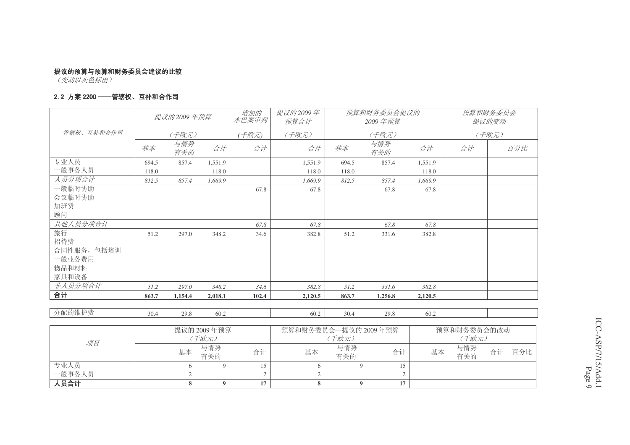————————————————————<br>(变动以灰色标出)

#### 2. 2 方案 2200 ――管辖权、互补和合作司

|            |       | 提议的2009年预算 |         | 增加的<br>本巴案审判 | 提议的2009年<br>预算合计 |       | 预算和财务委员会提议的<br>2009年预算 |         |    | 预算和财务委员会<br>提议的变动 |
|------------|-------|------------|---------|--------------|------------------|-------|------------------------|---------|----|-------------------|
| 管辖权、互补和合作司 |       | (千欧元)      |         | (千欧元)        | (千欧元)            |       | (千欧元)                  |         |    | (千欧元)             |
|            | 基本    | 与情势<br>有关的 | 合计      | 合计           | 合计               | 基本    | 与情势<br>有关的             | 合计      | 合计 | 百分比               |
| 专业人员       | 694.5 | 857.4      | 1.551.9 |              | 1,551.9          | 694.5 | 857.4                  | 1.551.9 |    |                   |
| 一般事务人员     | 118.0 |            | 118.0   |              | 118.0            | 118.0 |                        | 118.0   |    |                   |
| 人员分项合计     | 812.5 | 857.4      | 1,669.9 |              | 1.669.9          | 812.5 | 857.4                  | 1,669.9 |    |                   |
| 一般临时协助     |       |            |         | 67.8         | 67.8             |       | 67.8                   | 67.8    |    |                   |
| 会议临时协助     |       |            |         |              |                  |       |                        |         |    |                   |
| 加班费        |       |            |         |              |                  |       |                        |         |    |                   |
| 顾问         |       |            |         |              |                  |       |                        |         |    |                   |
| 其他人员分项合计   |       |            |         | 67.8         | 67.8             |       | 67.8                   | 67.8    |    |                   |
| 旅行         | 51.2  | 297.0      | 348.2   | 34.6         | 382.8            | 51.2  | 331.6                  | 382.8   |    |                   |
| 招待费        |       |            |         |              |                  |       |                        |         |    |                   |
| 合同性服务,包括培训 |       |            |         |              |                  |       |                        |         |    |                   |
| 一般业务费用     |       |            |         |              |                  |       |                        |         |    |                   |
| 物品和材料      |       |            |         |              |                  |       |                        |         |    |                   |
| 家具和设备      |       |            |         |              |                  |       |                        |         |    |                   |
| 非人员分项合计    | 51.2  | 297.0      | 348.2   | 34.6         | 382.8            | 51.2  | 331.6                  | 382.8   |    |                   |
| 合计         | 863.7 | 1,154.4    | 2,018.1 | 102.4        | 2,120.5          | 863.7 | 1,256.8                | 2,120.5 |    |                   |
|            |       |            |         |              |                  |       |                        |         |    |                   |
| 分配的维护费     | 30.4  | 29.8       | 60.2    |              | 60.2             | 30.4  | 29.8                   | 60.2    |    |                   |

|        |    | 提议的 2009 年预算 |    | 预算和财务委员会—提议的 2009年预算 |            |    |    | 预算和财务委员会的改动 |    |     |
|--------|----|--------------|----|----------------------|------------|----|----|-------------|----|-----|
| 项目     |    | (千欧元)        |    |                      | (千欧元)      |    |    | (千欧元)       |    |     |
|        | 基本 | 与情势<br>有关的   | 合计 | 基本                   | 与情势<br>有关的 | 合计 | 基本 | 与情势<br>有关的  | 合计 | 百分比 |
| 专业人员   |    |              |    |                      |            |    |    |             |    |     |
| 一般事务人员 |    |              |    |                      |            |    |    |             |    |     |
| 人员合计   |    |              | 17 |                      |            | 17 |    |             |    |     |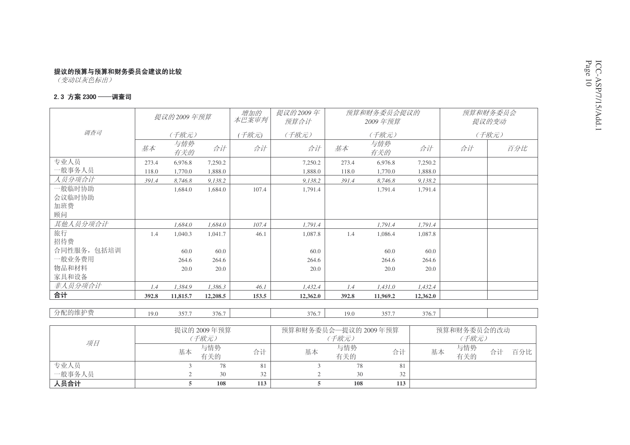————————————————————<br>(变动以灰色标出)

#### 2.3 方案 2300 ——调查司

|             |       | 提议的 2009 年预算 |          | 增加的<br>本巴案审判 | 提议的2009年<br>预算合计 |       | 预算和财务委员会提议的<br>2009年预算 |          |    | 预算和财务委员会<br>提议的变动 |
|-------------|-------|--------------|----------|--------------|------------------|-------|------------------------|----------|----|-------------------|
| 调查司         |       | (千欧元)        |          | (千欧元)        | (千欧元)            |       | (千欧元)                  |          |    | (千欧元)             |
|             | 基本    | 与情势<br>有关的   | 合计       | 合计           | 合计               | 基本    | 与情势<br>有关的             | 合计       | 合计 | 百分比               |
| 专业人员        | 273.4 | 6,976.8      | 7,250.2  |              | 7,250.2          | 273.4 | 6,976.8                | 7,250.2  |    |                   |
| 一般事务人员      | 118.0 | 1,770.0      | 1,888.0  |              | 1,888.0          | 118.0 | 1,770.0                | 1,888.0  |    |                   |
| 人员分项合计      | 391.4 | 8,746.8      | 9,138.2  |              | 9,138.2          | 391.4 | 8,746.8                | 9,138.2  |    |                   |
| 一般临时协助      |       | 1,684.0      | 1.684.0  | 107.4        | 1,791.4          |       | 1.791.4                | 1,791.4  |    |                   |
| 会议临时协助      |       |              |          |              |                  |       |                        |          |    |                   |
| 加班费         |       |              |          |              |                  |       |                        |          |    |                   |
| 顾问          |       |              |          |              |                  |       |                        |          |    |                   |
| 其他人员分项合计    |       | 1,684.0      | 1,684.0  | 107.4        | 1,791.4          |       | 1,791.4                | 1,791.4  |    |                   |
| 旅行          | 1.4   | 1,040.3      | 1,041.7  | 46.1         | 1,087.8          | 1.4   | 1,086.4                | 1,087.8  |    |                   |
| 招待费         |       |              |          |              |                  |       |                        |          |    |                   |
| 合同性服务, 包括培训 |       | 60.0         | 60.0     |              | 60.0             |       | 60.0                   | 60.0     |    |                   |
| 一般业务费用      |       | 264.6        | 264.6    |              | 264.6            |       | 264.6                  | 264.6    |    |                   |
| 物品和材料       |       | 20.0         | 20.0     |              | 20.0             |       | 20.0                   | 20.0     |    |                   |
| 家具和设备       |       |              |          |              |                  |       |                        |          |    |                   |
| 非人员分项合计     | 1.4   | 1,384.9      | 1,386.3  | 46.1         | 1,432.4          | 1.4   | 1,431.0                | 1,432.4  |    |                   |
| 合计          | 392.8 | 11,815.7     | 12,208.5 | 153.5        | 12,362.0         | 392.8 | 11,969.2               | 12,362.0 |    |                   |
|             |       |              |          |              |                  |       |                        |          |    |                   |

分配的维护费

0 357.7 376.7 | 376.7 | 376.7 | 376.7 | 357.7 376.7

19.0

|        |    | 提议的 2009年预算 |     | 预算和财务委员会—提议的 2009年预算 | 预算和财务委员会的改动 |     |    |            |        |     |
|--------|----|-------------|-----|----------------------|-------------|-----|----|------------|--------|-----|
| 项目     |    | (千欧元)       |     |                      | (千欧元)       |     |    |            | ^ 千欧元) |     |
|        | 基本 | 与情势<br>有关的  | 合计  | 基本                   | 与情势<br>有关的  | 合计  | 基本 | 与情势<br>有关的 | 合计     | 百分比 |
| 专业人员   |    | 78          | 81  |                      | 78          | 81  |    |            |        |     |
| 一般事务人员 |    | 30          | 32  |                      | 30          | 32  |    |            |        |     |
| 、员合计   |    | 108         | 113 |                      | 108         | 113 |    |            |        |     |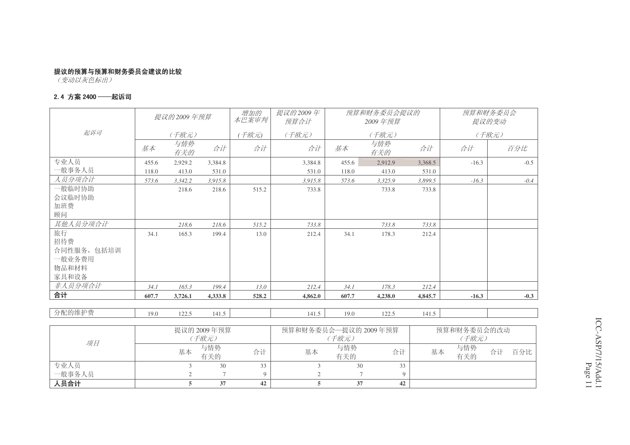————————————————————<br>(变动以灰色标出)

#### 2.4 方案 2400 ——起诉司

|             |       | 提议的 2009 年预算<br>本巴案审判 |         |       | 提议的2009年<br>预算合计 | 预算和财务委员会提议的<br>2009年预算 |            |         | 预算和财务委员会<br>提议的变动 |        |  |
|-------------|-------|-----------------------|---------|-------|------------------|------------------------|------------|---------|-------------------|--------|--|
| 起诉司         |       | (千欧元)                 |         | (千欧元) | (千欧元)            | (千欧元)                  |            |         | (千欧元)             |        |  |
|             | 基本    | 与情势<br>有关的            | 合计      | 合计    | 合计               | 基本                     | 与情势<br>有关的 | 合计      | 合计                | 百分比    |  |
| 专业人员        | 455.6 | 2,929.2               | 3.384.8 |       | 3,384.8          | 455.6                  | 2,912.9    | 3,368.5 | $-16.3$           | $-0.5$ |  |
| 一般事务人员      | 118.0 | 413.0                 | 531.0   |       | 531.0            | 118.0                  | 413.0      | 531.0   |                   |        |  |
| 人员分项合计      | 573.6 | 3,342.2               | 3,915.8 |       | 3,915.8          | 573.6                  | 3,325.9    | 3,899.5 | $-16.3$           | $-0.4$ |  |
| 一般临时协助      |       | 218.6                 | 218.6   | 515.2 | 733.8            |                        | 733.8      | 733.8   |                   |        |  |
| 会议临时协助      |       |                       |         |       |                  |                        |            |         |                   |        |  |
| 加班费         |       |                       |         |       |                  |                        |            |         |                   |        |  |
| 顾问          |       |                       |         |       |                  |                        |            |         |                   |        |  |
| 其他人员分项合计    |       | 218.6                 | 218.6   | 515.2 | 733.8            |                        | 733.8      | 733.8   |                   |        |  |
| 旅行          | 34.1  | 165.3                 | 199.4   | 13.0  | 212.4            | 34.1                   | 178.3      | 212.4   |                   |        |  |
| 招待费         |       |                       |         |       |                  |                        |            |         |                   |        |  |
| 合同性服务, 包括培训 |       |                       |         |       |                  |                        |            |         |                   |        |  |
| 一般业务费用      |       |                       |         |       |                  |                        |            |         |                   |        |  |
| 物品和材料       |       |                       |         |       |                  |                        |            |         |                   |        |  |
| 家具和设备       |       |                       |         |       |                  |                        |            |         |                   |        |  |
| 非人员分项合计     | 34.1  | 165.3                 | 199.4   | 13.0  | 212.4            | 34.1                   | 178.3      | 212.4   |                   |        |  |
| 合计          | 607.7 | 3,726.1               | 4,333.8 | 528.2 | 4,862.0          | 607.7                  | 4,238.0    | 4,845.7 | $-16.3$           | $-0.3$ |  |

分配的维护费

0 122.5 141.5 1 141.5 141.5 19.0 122.5 141.5

19.0

|        |    | 提议的 2009 年预算 |    | 预算和财务委员会—提议的 2009年预算 | 预算和财务委员会的改动 |    |    |            |    |     |
|--------|----|--------------|----|----------------------|-------------|----|----|------------|----|-----|
| 项目     |    | (千欧元)        |    |                      | (千欧元)       |    |    | (千欧元)      |    |     |
|        | 基本 | 与情势<br>有关的   | 合计 | 基本                   | 与情势<br>有关的  | 合计 | 基本 | 与情势<br>有关的 | 合计 | 百分比 |
| 专业人员   |    | 30           | 33 |                      | 30          | 33 |    |            |    |     |
| 一般事务人员 |    |              |    |                      |             |    |    |            |    |     |
| 人员合计   |    | 37           | 42 |                      | 37          | 42 |    |            |    |     |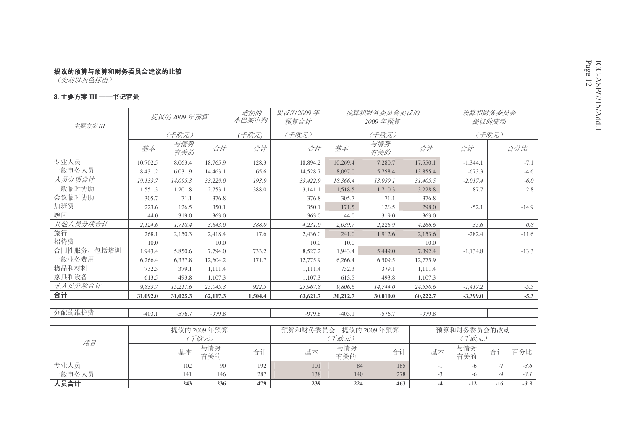#### 3. 主要方案 III ——书记官处

|             |          | 提议的2009年预算  |          |         | 提议的2009年<br>预算合计     | 预算和财务委员会提议的<br>2009 年预算 |            |          | 预算和财务委员会<br>提议的变动 |         |  |
|-------------|----------|-------------|----------|---------|----------------------|-------------------------|------------|----------|-------------------|---------|--|
| 主要方案III     |          | (千欧元)       |          | 千欧元)    | (千欧元)                |                         | (千欧元)      |          |                   | (千欧元)   |  |
|             | 基本       | 与情势<br>有关的  | 合计       | 合计      | 合计                   | 基本                      | 与情势<br>有关的 | 合计       | 合计                | 百分比     |  |
| 专业人员        | 10.702.5 | 8.063.4     | 18.765.9 | 128.3   | 18,894.2             | 10.269.4                | 7.280.7    | 17.550.1 | $-1,344.1$        | $-7.1$  |  |
| 一般事务人员      | 8,431.2  | 6,031.9     | 14,463.1 | 65.6    | 14,528.7             | 8,097.0                 | 5,758.4    | 13,855.4 | $-673.3$          | $-4.6$  |  |
| 人员分项合计      | 19,133.7 | 14,095.3    | 33,229.0 | 193.9   | 33,422.9             | 18,366.4                | 13,039.1   | 31,405.5 | $-2,017.4$        | $-6.0$  |  |
| 一般临时协助      | 1,551.3  | 1,201.8     | 2,753.1  | 388.0   | 3,141.1              | 1,518.5                 | 1,710.3    | 3,228.8  | 87.7              | 2.8     |  |
| 会议临时协助      | 305.7    | 71.1        | 376.8    |         | 376.8                | 305.7                   | 71.1       | 376.8    |                   |         |  |
| 加班费         | 223.6    | 126.5       | 350.1    |         | 350.1                | 171.5                   | 126.5      | 298.0    | $-52.1$           | $-14.9$ |  |
| 顾问          | 44.0     | 319.0       | 363.0    |         | 363.0                | 44.0                    | 319.0      | 363.0    |                   |         |  |
| 其他人员分项合计    | 2,124.6  | 1,718.4     | 3,843.0  | 388.0   | 4,231.0              | 2,039.7                 | 2,226.9    | 4,266.6  | 35.6              | 0.8     |  |
| 旅行          | 268.1    | 2,150.3     | 2,418.4  | 17.6    | 2,436.0              | 241.0                   | 1,912.6    | 2,153.6  | $-282.4$          | $-11.6$ |  |
| 招待费         | 10.0     |             | 10.0     |         | 10.0                 | 10.0                    |            | 10.0     |                   |         |  |
| 合同性服务, 包括培训 | 1,943.4  | 5,850.6     | 7.794.0  | 733.2   | 8,527.2              | 1,943.4                 | 5,449.0    | 7,392.4  | $-1,134.8$        | $-13.3$ |  |
| 一般业务费用      | 6,266.4  | 6,337.8     | 12,604.2 | 171.7   | 12,775.9             | 6,266.4                 | 6,509.5    | 12,775.9 |                   |         |  |
| 物品和材料       | 732.3    | 379.1       | 1,111.4  |         | 1,111.4              | 732.3                   | 379.1      | 1,111.4  |                   |         |  |
| 家具和设备       | 613.5    | 493.8       | 1,107.3  |         | 1,107.3              | 613.5                   | 493.8      | 1,107.3  |                   |         |  |
| 非人员分项合计     | 9.833.7  | 15,211.6    | 25,045.3 | 922.5   | 25,967.8             | 9,806.6                 | 14,744.0   | 24,550.6 | $-1,417.2$        | $-5.5$  |  |
| 合计          | 31,092.0 | 31,025.3    | 62,117.3 | 1,504.4 | 63,621.7             | 30,212.7                | 30,010.0   | 60,222.7 | $-3,399.0$        | $-5.3$  |  |
| 分配的维护费      | $-403.1$ | $-576.7$    | $-979.8$ |         | $-979.8$             | $-403.1$                | $-576.7$   | $-979.8$ |                   |         |  |
|             |          | 提议的 2009年预算 |          |         | 预算和财冬委员会—提议的 2009年预算 |                         |            |          | 预算和财冬委员会的改动       |         |  |

|        |     | 提议的 2009年预算 |     | 预算和财务委员会—提议的 2009年预算 | 预算和财务委员会的改动 |     |    |            |       |        |
|--------|-----|-------------|-----|----------------------|-------------|-----|----|------------|-------|--------|
| 项目     |     | 千欧元)        |     |                      | 千欧元)        |     |    |            | 千欧元)  |        |
|        | 基本  | 与情势<br>有关的  | 合计  | 基本                   | 与情势<br>有关的  | 合计  | 基本 | 与情势<br>有关的 | 合计    | 百分比    |
| 专业人员   | 102 | 90          | 192 | 101                  | 84          | 185 |    |            |       | $-3.6$ |
| 一般事务人员 | 141 | 146         | 287 | 138                  | 140         | 278 | -2 |            |       | $-3.1$ |
| 人员合计   | 243 | 236         | 479 | 239                  | 224         | 463 |    |            | $-16$ | $-3.3$ |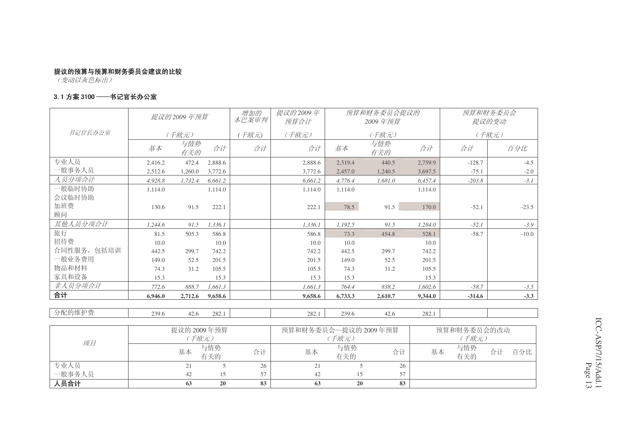专业人员 21 5 26 21 5 26

42 15 57 42 15 57

**63 20 83 63 20 83**

(变动以灰色标出)

一般事务人员

入员合计

#### 3. 1 方案 3100 ――书记官长办公室

|             |         | 提议的 2009 年预算 |            | 增加的<br>本巴案审判 | 提议的2009年<br>预算合计     |            | 预算和财务委员会提议的<br>2009年预算 |         | 预算和财务委员会<br>提议的变动 |           |  |
|-------------|---------|--------------|------------|--------------|----------------------|------------|------------------------|---------|-------------------|-----------|--|
| 书记官长办公室     |         | (千欧元)        |            | (千欧元)        | (千欧元)                |            | (千欧元)                  |         |                   | (千欧元)     |  |
|             | 基本      | 与情势<br>有关的   | 合计         | 合计           | 合计                   | 基本         | 与情势<br>有关的             | 合计      | 合计                | 百分比       |  |
| 专业人员        | 2.416.2 | 472.4        | 2,888.6    |              | 2.888.6              | 2.319.4    | 440.5                  | 2.759.9 | $-128.7$          | $-4.5$    |  |
| 一般事务人员      | 2,512.6 | 1,260.0      | 3,772.6    |              | 3,772.6              | 2,457.0    | 1,240.5                | 3,697.5 | $-75.1$           | $-2.0$    |  |
| 人员分项合计      | 4,928.8 | 1,732.4      | 6,661.2    |              | 6,661.2              | 4,776.4    | 1,681.0                | 6,457.4 | $-203.8$          | $-3.1$    |  |
| 一般临时协助      | 1,114.0 |              | 1,114.0    |              | 1,114.0              | 1,114.0    |                        | 1,114.0 |                   |           |  |
| 会议临时协助      |         |              |            |              |                      |            |                        |         |                   |           |  |
| 加班费         | 130.6   | 91.5         | 222.1      |              | 222.1                | 78.5       | 91.5                   | 170.0   | $-52.1$           | $-23.5$   |  |
| 顾问          |         |              |            |              |                      |            |                        |         |                   |           |  |
| 其他人员分项合计    | 1.244.6 | 91.5         | 1.336.1    |              | 1.336.1              | 1,192.5    | 91.5                   | 1.284.0 | $-52.1$           | $-3.9$    |  |
| 旅行          | 81.5    | 505.3        | 586.8      |              | 586.8                | 73.3       | 454.8                  | 528.1   | $-58.7$           | $-10.0$   |  |
| 招待费         | 10.0    |              | 10.0       |              | 10.0                 | 10.0       |                        | 10.0    |                   |           |  |
| 合同性服务, 包括培训 | 442.5   | 299.7        | 742.2      |              | 742.2                | 442.5      | 299.7                  | 742.2   |                   |           |  |
| 一般业务费用      | 149.0   | 52.5         | 201.5      |              | 201.5                | 149.0      | 52.5                   | 201.5   |                   |           |  |
| 物品和材料       | 74.3    | 31.2         | 105.5      |              | 105.5                | 74.3       | 31.2                   | 105.5   |                   |           |  |
| 家具和设备       | 15.3    |              | 15.3       |              | 15.3                 | 15.3       |                        | 15.3    |                   |           |  |
| 非人员分项合计     | 772.6   | 888.7        | 1,661.3    |              | 1,661.3              | 764.4      | 838.2                  | 1,602.6 | $-58.7$           | $-3.5$    |  |
| 合计          | 6,946.0 | 2,712.6      | 9,658.6    |              | 9,658.6              | 6,733.3    | 2,610.7                | 9,344.0 | $-314.6$          | $-3.3$    |  |
|             |         |              |            |              |                      |            |                        |         |                   |           |  |
| 分配的维护费      | 239.6   | 42.6         | 282.1      |              | 282.1                | 239.6      | 42.6                   | 282.1   |                   |           |  |
|             |         |              |            |              |                      |            |                        |         |                   |           |  |
|             |         | 提议的 2009年预算  |            |              | 预算和财务委员会一提议的 2009年预算 |            |                        |         | 预算和财务委员会的改动       |           |  |
| 项目          |         | (千欧元)        |            |              |                      | (千欧元)      |                        |         | (千欧元)             |           |  |
|             |         | 基本           | 与情势<br>有关的 | 合计           | 基本                   | 与情势<br>有关的 | 合计                     | 基本      | 与情势<br>有关的        | 合计<br>百分比 |  |

| م<br>مو | r |
|---------|---|
| 99<br>ï |   |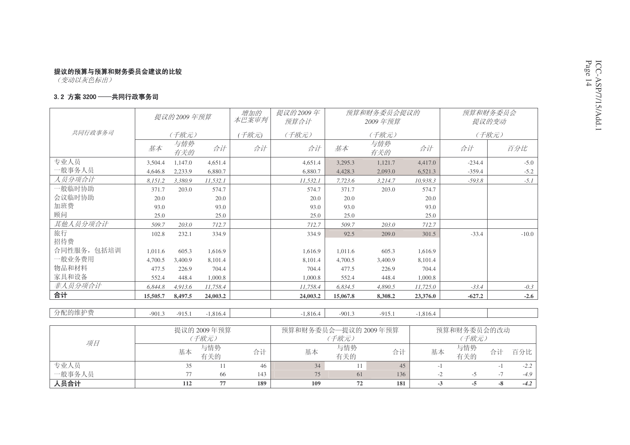#### 3.2 方案 3200 ——共同行政事务司

|             | 提议的 2009 年预算 |            |            | 增加的<br>本巴案审判 | 提议的2009年<br>预算合计 |          | 预算和财务委员会提议的<br>2009年预算 |            |          | 预算和财务委员会<br>提议的变动 |
|-------------|--------------|------------|------------|--------------|------------------|----------|------------------------|------------|----------|-------------------|
| 共同行政事务司     |              | (千欧元)      |            | (千欧元)        | (千欧元)            |          | (千欧元)                  |            |          | (千欧元)             |
|             | 基本           | 与情势<br>有关的 | 合计         | 合计           | 合计               | 基本       | 与情势<br>有关的             | 合计         | 合计       | 百分比               |
| 专业人员        | 3,504.4      | 1.147.0    | 4.651.4    |              | 4,651.4          | 3,295.3  | 1,121.7                | 4,417.0    | $-234.4$ | $-5.0$            |
| 一般事务人员      | 4,646.8      | 2,233.9    | 6,880.7    |              | 6,880.7          | 4,428.3  | 2,093.0                | 6,521.3    | $-359.4$ | $-5.2$            |
| 人员分项合计      | 8,151.2      | 3,380.9    | 11,532.1   |              | 11,532.1         | 7,723.6  | 3,214.7                | 10,938.3   | $-593.8$ | $-5.1$            |
| 一般临时协助      | 371.7        | 203.0      | 574.7      |              | 574.7            | 371.7    | 203.0                  | 574.7      |          |                   |
| 会议临时协助      | 20.0         |            | 20.0       |              | 20.0             | 20.0     |                        | 20.0       |          |                   |
| 加班费         | 93.0         |            | 93.0       |              | 93.0             | 93.0     |                        | 93.0       |          |                   |
| 顾问          | 25.0         |            | 25.0       |              | 25.0             | 25.0     |                        | 25.0       |          |                   |
| 其他人员分项合计    | 509.7        | 203.0      | 712.7      |              | 712.7            | 509.7    | 203.0                  | 712.7      |          |                   |
| 旅行          | 102.8        | 232.1      | 334.9      |              | 334.9            | 92.5     | 209.0                  | 301.5      | $-33.4$  | $-10.0$           |
| 招待费         |              |            |            |              |                  |          |                        |            |          |                   |
| 合同性服务, 包括培训 | 1.011.6      | 605.3      | 1.616.9    |              | 1.616.9          | 1.011.6  | 605.3                  | 1.616.9    |          |                   |
| 一般业务费用      | 4,700.5      | 3,400.9    | 8,101.4    |              | 8,101.4          | 4,700.5  | 3,400.9                | 8,101.4    |          |                   |
| 物品和材料       | 477.5        | 226.9      | 704.4      |              | 704.4            | 477.5    | 226.9                  | 704.4      |          |                   |
| 家具和设备       | 552.4        | 448.4      | 1,000.8    |              | 1.000.8          | 552.4    | 448.4                  | 1,000.8    |          |                   |
| 非人员分项合计     | 6,844.8      | 4,913.6    | 11,758.4   |              | 11,758.4         | 6,834.5  | 4,890.5                | 11,725.0   | $-33.4$  | $-0.3$            |
| 合计          | 15,505.7     | 8,497.5    | 24,003.2   |              | 24,003.2         | 15,067.8 | 8,308.2                | 23,376.0   | $-627.2$ | $-2.6$            |
|             |              |            |            |              |                  |          |                        |            |          |                   |
| 分配的维护费      | $-901.3$     | $-915.1$   | $-1.816.4$ |              | $-1,816.4$       | $-901.3$ | $-915.1$               | $-1,816.4$ |          |                   |

|        |     | 提议的 2009年预算 |     | 预算和财务委员会一提议的 2009年预算 | 预算和财务委员会的改动 |     |      |            |    |        |
|--------|-----|-------------|-----|----------------------|-------------|-----|------|------------|----|--------|
| 项目     |     | (千欧元)       |     |                      | ^ 千欧元)      |     |      | (千欧元)      |    |        |
|        | 基本  | 与情势<br>有关的  | 合计  | 基本                   | 与情势<br>有关的  | 合计  | 基本   | 与情势<br>有关的 | 合计 | 百分比    |
| 专业人员   |     |             | 46  | 34                   |             | 45  |      |            |    | $-2.2$ |
| 一般事务人员 |     | 66          | 143 | 75                   | 61          | 136 | $-L$ |            |    | $-4.9$ |
| 人员合计   | 112 | 77          | 189 | 109                  | 72          | 181 | - 3  |            |    | $-4.2$ |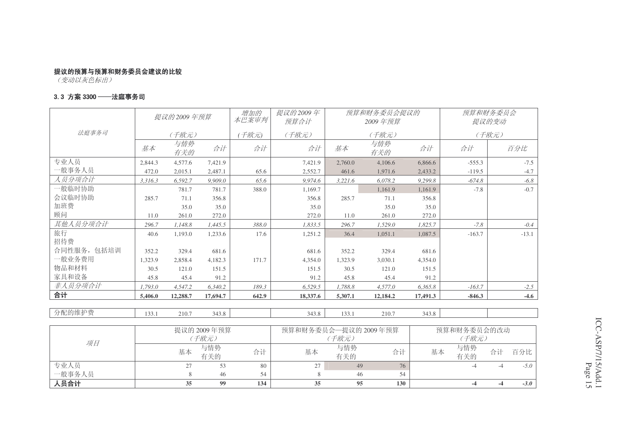<del>【1】</del><br>(变动以灰色标出)

专业人员<br>一般事务人员

入员合计

#### 3.3 方案 3300 ──法庭事务司

|             |         | 提议的 2009 年预算 |             | 增加的<br>本巴案审判 | 提议的2009年<br>预算合计     |            | 预算和财务委员会提议的<br>2009年预算 |          |             | 预算和财务委员会<br>提议的变动 |
|-------------|---------|--------------|-------------|--------------|----------------------|------------|------------------------|----------|-------------|-------------------|
| 法庭事务司       |         | (千欧元)        |             | 干欧元)         | (千欧元)                |            | (千欧元)                  |          |             | (千欧元)             |
|             | 基本      | 与情势<br>有关的   | 合计          | 合计           | 合计                   | 基本         | 与情势<br>有关的             | 合计       | 合计          | 百分比               |
| 专业人员        | 2.844.3 | 4,577.6      | 7.421.9     |              | 7.421.9              | 2.760.0    | 4,106.6                | 6.866.6  | $-555.3$    | $-7.5$            |
| 一般事务人员      | 472.0   | 2,015.1      | 2.487.1     | 65.6         | 2,552.7              | 461.6      | 1,971.6                | 2,433.2  | $-119.5$    | $-4.7$            |
| 人员分项合计      | 3,316.3 | 6,592.7      | 9,909.0     | 65.6         | 9,974.6              | 3,221.6    | 6,078.2                | 9,299.8  | $-674.8$    | $-6.8$            |
| 一般临时协助      |         | 781.7        | 781.7       | 388.0        | 1,169.7              |            | 1,161.9                | 1,161.9  | $-7.8$      | $-0.7$            |
| 会议临时协助      | 285.7   | 71.1         | 356.8       |              | 356.8                | 285.7      | 71.1                   | 356.8    |             |                   |
| 加班费         |         | 35.0         | 35.0        |              | 35.0                 |            | 35.0                   | 35.0     |             |                   |
| 顾问          | 11.0    | 261.0        | 272.0       |              | 272.0                | 11.0       | 261.0                  | 272.0    |             |                   |
| 其他人员分项合计    | 296.7   | 1,148.8      | 1,445.5     | 388.0        | 1,833.5              | 296.7      | 1,529.0                | 1.825.7  | $-7.8$      | $-0.4$            |
| 旅行          | 40.6    | 1,193.0      | 1,233.6     | 17.6         | 1,251.2              | 36.4       | 1,051.1                | 1,087.5  | $-163.7$    | $-13.1$           |
| 招待费         |         |              |             |              |                      |            |                        |          |             |                   |
| 合同性服务, 包括培训 | 352.2   | 329.4        | 681.6       |              | 681.6                | 352.2      | 329.4                  | 681.6    |             |                   |
| 一般业务费用      | 1.323.9 | 2.858.4      | 4,182.3     | 171.7        | 4,354.0              | 1.323.9    | 3.030.1                | 4.354.0  |             |                   |
| 物品和材料       | 30.5    | 121.0        | 151.5       |              | 151.5                | 30.5       | 121.0                  | 151.5    |             |                   |
| 家具和设备       | 45.8    | 45.4         | 91.2        |              | 91.2                 | 45.8       | 45.4                   | 91.2     |             |                   |
| 非人员分项合计     | 1,793.0 | 4,547.2      | 6,340.2     | 189.3        | 6,529.5              | 1,788.8    | 4,577.0                | 6,365.8  | $-163.7$    | $-2.5$            |
| 合计          | 5,406.0 | 12,288.7     | 17,694.7    | 642.9        | 18,337.6             | 5,307.1    | 12,184.2               | 17,491.3 | $-846.3$    | $-4.6$            |
|             |         |              |             |              |                      |            |                        |          |             |                   |
| 分配的维护费      | 133.1   | 210.7        | 343.8       |              | 343.8                | 133.1      | 210.7                  | 343.8    |             |                   |
|             |         |              |             |              |                      |            |                        |          |             |                   |
|             |         |              | 提议的 2009年预算 |              | 预算和财务委员会一提议的 2009年预算 |            |                        |          | 预算和财务委员会的改动 |                   |
| 项目          |         |              | (千欧元)       |              |                      | (千欧元)      |                        |          | (千欧元)       |                   |
|             |         | 基本           | 与情势<br>有关的  | 合计           | 基本                   | 与情势<br>有关的 | 合计                     | 基本       | 与情势<br>有关的  | 百分比<br>合计         |

专业人员 27 53 80 | 27 | 49 76 | -4 -4 -5.0

**35 99 134 35 95 130 -4 -4** *-3.0*

员 8 46 54 | 8 46 54

ICC-ASP/7/15/Add.1 Page 15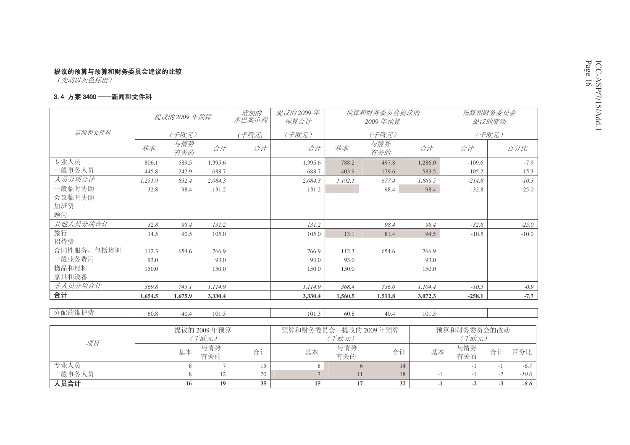#### 3.4 方案 3400 ——新闻和文件科

|             |         | 提议的 2009 年预算<br>本巴案审判 |         |      | 提议的2009年<br>预算合计 |                      | 预算和财务委员会提议的<br>2009年预算 |         |             | 预算和财务委员会<br>提议的变动 |  |
|-------------|---------|-----------------------|---------|------|------------------|----------------------|------------------------|---------|-------------|-------------------|--|
| 新闻和文件科      |         | (千欧元)                 |         | 干欧元) | (千欧元)            |                      | (千欧元)                  |         |             | (千欧元)             |  |
|             | 基本      | 与情势<br>有关的            | 合计      | 合计   | 合计               | 基本                   | 与情势<br>有关的             | 合计      | 合计          | 百分比               |  |
| 专业人员        | 806.1   | 589.5                 | 1.395.6 |      | 1,395.6          | 788.2                | 497.8                  | 1,286.0 | $-109.6$    | $-7.9$            |  |
| 一般事务人员      | 445.8   | 242.9                 | 688.7   |      | 688.7            | 403.9                | 179.6                  | 583.5   | $-105.2$    | $-15.3$           |  |
| 人员分项合计      | 1,251.9 | 832.4                 | 2.084.3 |      | 2,084.3          | 1,192.1              | 677.4                  | 1,869.5 | $-214.8$    | $-10.3$           |  |
| 一般临时协助      | 32.8    | 98.4                  | 131.2   |      | 131.2            |                      | 98.4                   | 98.4    | $-32.8$     | $-25.0$           |  |
| 会议临时协助      |         |                       |         |      |                  |                      |                        |         |             |                   |  |
| 加班费         |         |                       |         |      |                  |                      |                        |         |             |                   |  |
| 顾问          |         |                       |         |      |                  |                      |                        |         |             |                   |  |
| 其他人员分项合计    | 32.8    | 98.4                  | 131.2   |      | 131.2            |                      | 98.4                   | 98.4    | $-32.8$     | $-25.0$           |  |
| 旅行          | 14.5    | 90.5                  | 105.0   |      | 105.0            | 13.1                 | 81.4                   | 94.5    | $-10.5$     | $-10.0$           |  |
| 招待费         |         |                       |         |      |                  |                      |                        |         |             |                   |  |
| 合同性服务, 包括培训 | 112.3   | 654.6                 | 766.9   |      | 766.9            | 112.3                | 654.6                  | 766.9   |             |                   |  |
| 一般业务费用      | 93.0    |                       | 93.0    |      | 93.0             | 93.0                 |                        | 93.0    |             |                   |  |
| 物品和材料       | 150.0   |                       | 150.0   |      | 150.0            | 150.0                |                        | 150.0   |             |                   |  |
| 家具和设备       |         |                       |         |      |                  |                      |                        |         |             |                   |  |
| 非人员分项合计     | 369.8   | 745.1                 | 1,114.9 |      | 1,114.9          | 368.4                | 736.0                  | 1,104.4 | $-10.5$     | $-0.9$            |  |
| 合计          | 1,654.5 | 1,675.9               | 3,330.4 |      | 3,330.4          | 1,560.5              | 1,511.8                | 3,072.3 | $-258.1$    | $-7.7$            |  |
|             |         |                       |         |      |                  |                      |                        |         |             |                   |  |
| 分配的维护费      | 60.8    | 40.4                  | 101.3   |      | 101.3            | 60.8                 | 40.4                   | 101.3   |             |                   |  |
|             |         |                       |         |      |                  |                      |                        |         |             |                   |  |
|             |         | 提议的 2009年预算           |         |      |                  | 预算和财务委员会一提议的 2009年预算 |                        |         | 预算和财务委员会的改动 |                   |  |

|        |    | 提议的 2009年预算<br>(千欧元) |    | 预算和财务委员会—提议的 2009年预算 | 预算和财务委员会的改动<br>^ 千欧元) |    |    |            |     |         |
|--------|----|----------------------|----|----------------------|-----------------------|----|----|------------|-----|---------|
| 项目     | 基本 | 与情势<br>有关的           | 合计 | 基本                   | 与情势<br>有关的            | 合计 | 基本 | 与情势<br>有关的 | 合计  | 百分比     |
| 专业人员   |    |                      |    |                      |                       |    |    |            |     | $-6.7$  |
| 一般事务人员 |    |                      | 20 |                      |                       | 18 |    |            |     | $-10.0$ |
| 人员合计   |    | 19                   | 35 |                      |                       | 32 |    |            | - 1 | -8.6    |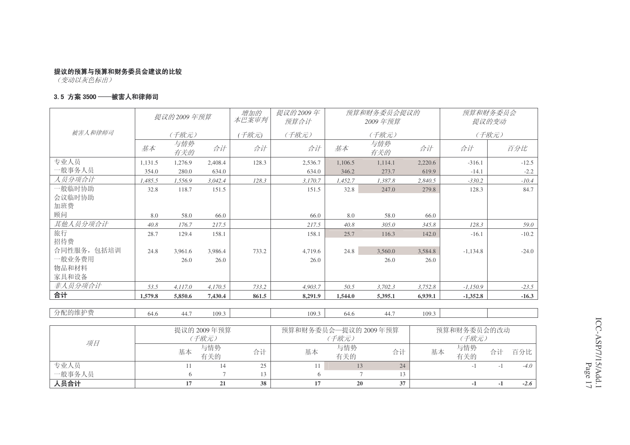<del>【1】</del><br>(变动以灰色标出)

一般事务人员

入员合计

#### 3.5 方案 3500 ──被害人和律师司

|             |         | 提议的 2009 年预算 |             | 增加的<br>本巴案审判 | 提议的2009年<br>预算合计     |            | 预算和财务委员会提议的<br>2009年预算 |             |            | 预算和财务委员会<br>提议的变动 |
|-------------|---------|--------------|-------------|--------------|----------------------|------------|------------------------|-------------|------------|-------------------|
| 被害人和律师司     |         | (千欧元)        |             | (千欧元)        | (千欧元)                |            | (千欧元)                  |             |            | (千欧元)             |
|             | 基本      | 与情势<br>有关的   | 合计          | 合计           | 合计                   | 基本         | 与情势<br>有关的             | 合计          | 合计         | 百分比               |
| 专业人员        | 1.131.5 | 1,276.9      | 2.408.4     | 128.3        | 2,536.7              | 1.106.5    | 1.114.1                | 2,220.6     | $-316.1$   | $-12.5$           |
| 一般事务人员      | 354.0   | 280.0        | 634.0       |              | 634.0                | 346.2      | 273.7                  | 619.9       | $-14.1$    | $-2.2$            |
| 人员分项合计      | 1.485.5 | 1,556.9      | 3.042.4     | 128.3        | 3,170.7              | 1,452.7    | 1,387.8                | 2.840.5     | $-330.2$   | $-10.4$           |
| 般临时协助       | 32.8    | 118.7        | 151.5       |              | 151.5                | 32.8       | 247.0                  | 279.8       | 128.3      | 84.7              |
| 会议临时协助      |         |              |             |              |                      |            |                        |             |            |                   |
| 加班费         |         |              |             |              |                      |            |                        |             |            |                   |
| 顾问          | 8.0     | 58.0         | 66.0        |              | 66.0                 | 8.0        | 58.0                   | 66.0        |            |                   |
| 其他人员分项合计    | 40.8    | 176.7        | 217.5       |              | 217.5                | 40.8       | 305.0                  | 345.8       | 128.3      | 59.0              |
| 旅行          | 28.7    | 129.4        | 158.1       |              | 158.1                | 25.7       | 116.3                  | 142.0       | $-16.1$    | $-10.2$           |
| 招待费         |         |              |             |              |                      |            |                        |             |            |                   |
| 合同性服务, 包括培训 | 24.8    | 3,961.6      | 3.986.4     | 733.2        | 4.719.6              | 24.8       | 3,560.0                | 3.584.8     | $-1.134.8$ | $-24.0$           |
| 一般业务费用      |         | 26.0         | 26.0        |              | 26.0                 |            | 26.0                   | 26.0        |            |                   |
| 物品和材料       |         |              |             |              |                      |            |                        |             |            |                   |
| 家具和设备       |         |              |             |              |                      |            |                        |             |            |                   |
| 非人员分项合计     | 53.5    | 4,117.0      | 4,170.5     | 733.2        | 4,903.7              | 50.5       | 3,702.3                | 3,752.8     | $-1,150.9$ | $-23.5$           |
| 合计          | 1,579.8 | 5,850.6      | 7,430.4     | 861.5        | 8,291.9              | 1,544.0    | 5,395.1                | 6,939.1     | $-1,352.8$ | $-16.3$           |
|             |         |              |             |              |                      |            |                        |             |            |                   |
| 分配的维护费      | 64.6    | 44.7         | 109.3       |              | 109.3                | 64.6       | 44.7                   | 109.3       |            |                   |
|             |         |              |             |              |                      |            |                        |             |            |                   |
|             |         |              | 提议的 2009年预算 |              | 预算和财务委员会一提议的 2009年预算 |            |                        | 预算和财务委员会的改动 |            |                   |
| 项目          |         |              | (千欧元)       |              |                      | (千欧元)      |                        |             | (千欧元)      |                   |
|             |         | 基本           | 与情势<br>有关的  | 合计           | 基本                   | 与情势<br>有关的 | 合计                     | 基本          | 与情势<br>有关的 | 百分比<br>合计         |

专业人员 11 14 25 | 11 13 24 | -1 -1 *-4.0* 

**17 21 38 17 20 37 -1 -1** *-2.6*

员 6 7 13 6 7 13

ICC-ASP/7/15/Add.1 Page 17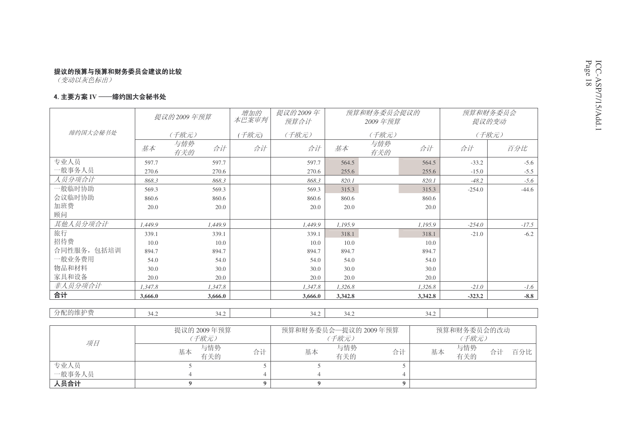#### 4. 主要方案 IV ──缔约国大会秘书处

|             |             | 提议的 2009 年预算     | 增加的<br>本巴案审判 | 提议的2009年<br>预算合计     |         | 预算和财务委员会提议的<br>2009年预算 | 预算和财务委员会<br>提议的变动 |             |                 |
|-------------|-------------|------------------|--------------|----------------------|---------|------------------------|-------------------|-------------|-----------------|
| 缔约国大会秘书处    |             | (千欧元)            | (千欧元)        | (千欧元)                |         | (千欧元)                  |                   |             | (千欧元)           |
|             | 基本          | 与情势<br>合计<br>有关的 | 合计           | 合计                   | 基本      | 与情势<br>有关的             | 合计                | 合计          | 百分比             |
| 专业人员        | 597.7       | 597.7            |              | 597.7                | 564.5   |                        | 564.5             | $-33.2$     | $-5.6$          |
| 一般事务人员      | 270.6       | 270.6            |              | 270.6                | 255.6   |                        | 255.6             | $-15.0$     | $-5.5$          |
| 人员分项合计      | 868.3       | 868.3            |              | 868.3                | 820.1   |                        | 820.1             | $-48.2$     | $-5.6$          |
| 一般临时协助      | 569.3       | 569.3            |              | 569.3                | 315.3   |                        | 315.3             | $-254.0$    | $-44.6$         |
| 会议临时协助      | 860.6       | 860.6            |              | 860.6                | 860.6   |                        | 860.6             |             |                 |
| 加班费         | 20.0        | 20.0             |              | 20.0                 | 20.0    |                        | 20.0              |             |                 |
| 顾问          |             |                  |              |                      |         |                        |                   |             |                 |
| 其他人员分项合计    | 1.449.9     | 1.449.9          |              | 1,449.9              | 1,195.9 |                        | 1,195.9           | $-254.0$    | $-17.5$         |
| 旅行          | 339.1       | 339.1            |              | 339.1                | 318.1   |                        | 318.1             | $-21.0$     | $-6.2$          |
| 招待费         | 10.0        | 10.0             |              | 10.0                 | 10.0    |                        | 10.0              |             |                 |
| 合同性服务, 包括培训 | 894.7       | 894.7            |              | 894.7                | 894.7   |                        | 894.7             |             |                 |
| 一般业务费用      | 54.0        | 54.0             |              | 54.0                 | 54.0    |                        | 54.0              |             |                 |
| 物品和材料       | 30.0        | 30.0             |              | 30.0                 | 30.0    |                        | 30.0              |             |                 |
| 家具和设备       | 20.0        | 20.0             |              | 20.0                 | 20.0    |                        | 20.0              |             |                 |
| 非人员分项合计     | 1.347.8     | 1,347.8          |              | 1,347.8              | 1,326.8 |                        | 1,326.8           | $-21.0$     | $-1.6$          |
| 合计          | 3,666.0     | 3,666.0          |              | 3,666.0              | 3,342.8 |                        | 3,342.8           | $-323.2$    | $\textbf{-8.8}$ |
| 分配的维护费      | 34.2        | 34.2             |              | 34.2                 | 34.2    |                        | 34.2              |             |                 |
|             | 提议的 2009年预算 |                  |              | 预算和财务委员会—提议的 2009年预算 |         |                        |                   | 预算和财务委员会的改动 |                 |

| 项目     | 提议的 2009年预算      |    | 预算和财务委员会—提议的 2009年预算 | 预算和财务委员会的改动 |    |    |            |    |     |
|--------|------------------|----|----------------------|-------------|----|----|------------|----|-----|
|        | (千欧元)            |    |                      | (千欧元)       |    |    |            |    |     |
|        | 与情势<br>基本<br>有关的 | 合计 | 基本                   | 与情势<br>有关的  | 合计 | 基本 | 与情势<br>有关的 | 合计 | 百分比 |
| 专业人员   |                  |    |                      |             |    |    |            |    |     |
| 一般事务人员 |                  |    |                      |             |    |    |            |    |     |
| 人员合计   |                  |    |                      |             |    |    |            |    |     |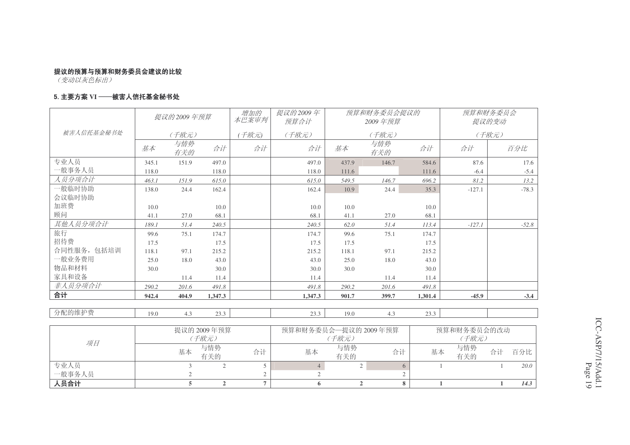<del>【 变动以灰色标出</del>】

#### 5. 主要方案 Ⅵ ──被害人信托基金秘书处

|             |       | 提议的2009年预算                                            |         | 增加的<br>本巴案审判 | 提议的2009年<br>预算合计 |       | 预算和财务委员会提议的<br>2009年预算 |         | 预算和财务委员会<br>提议的变动 |         |
|-------------|-------|-------------------------------------------------------|---------|--------------|------------------|-------|------------------------|---------|-------------------|---------|
| 被害人信托基金秘书处  |       | (千欧元)                                                 |         | 千欧元)         | (千欧元)            |       | (千欧元)                  |         |                   | (千欧元)   |
|             | 基本    | 与情势<br>有关的                                            | 合计      | 合计           | 合计               | 基本    | 与情势<br>有关的             | 合计      | 合计                | 百分比     |
| 专业人员        | 345.1 | 151.9                                                 | 497.0   |              | 497.0            | 437.9 | 146.7                  | 584.6   | 87.6              | 17.6    |
| -般事务人员      | 118.0 |                                                       | 118.0   |              | 118.0            | 111.6 |                        | 111.6   | $-6.4$            | $-5.4$  |
| 人员分项合计      | 463.1 | 151.9                                                 | 615.0   |              | 615.0            | 549.5 | 146.7                  | 696.2   | 81.2              | 13.2    |
| 一般临时协助      | 138.0 | 24.4                                                  | 162.4   |              | 162.4            | 10.9  | 24.4                   | 35.3    | $-127.1$          | $-78.3$ |
| 会议临时协助      |       |                                                       |         |              |                  |       |                        |         |                   |         |
| 加班费         | 10.0  |                                                       | 10.0    |              | 10.0             | 10.0  |                        | 10.0    |                   |         |
| 顾问          | 41.1  | 27.0                                                  | 68.1    |              | 68.1             | 41.1  | 27.0                   | 68.1    |                   |         |
| 其他人员分项合计    | 189.1 | 51.4                                                  | 240.5   |              | 240.5            | 62.0  | 51.4                   | 113.4   | $-127.1$          | $-52.8$ |
| 旅行          | 99.6  | 75.1                                                  | 174.7   |              | 174.7            | 99.6  | 75.1                   | 174.7   |                   |         |
| 招待费         | 17.5  |                                                       | 17.5    |              | 17.5             | 17.5  |                        | 17.5    |                   |         |
| 合同性服务, 包括培训 | 118.1 | 97.1                                                  | 215.2   |              | 215.2            | 118.1 | 97.1                   | 215.2   |                   |         |
| 一般业务费用      | 25.0  | 18.0                                                  | 43.0    |              | 43.0             | 25.0  | 18.0                   | 43.0    |                   |         |
| 物品和材料       | 30.0  |                                                       | 30.0    |              | 30.0             | 30.0  |                        | 30.0    |                   |         |
| 家具和设备       |       | 11.4                                                  | 11.4    |              | 11.4             |       | 11.4                   | 11.4    |                   |         |
| 非人员分项合计     | 290.2 | 201.6                                                 | 491.8   |              | 491.8            | 290.2 | 201.6                  | 491.8   |                   |         |
| 合计          | 942.4 | 404.9                                                 | 1,347.3 |              | 1.347.3          | 901.7 | 399.7                  | 1.301.4 | $-45.9$           | $-3.4$  |
| 分配的维护费      |       |                                                       |         |              |                  |       |                        |         |                   |         |
|             | 19.0  | 4.3                                                   | 23.3    |              | 23.3             | 19.0  | 4.3                    | 23.3    |                   |         |
| 琉日          |       | 预算和财务委员会一提议的 2009年预算<br>提议的 2009年预算<br>(千欧元)<br>(千欧元) |         |              |                  |       | 预算和财务委员会的改动<br>(千欧元)   |         |                   |         |

 ˅乍Ⳃ基本 与情势<br>有关的 势 合计 与情势 合计 基本 与情势<br>的 合计 有关的 合计 基本 有关的 与情势<br>有关的 合计 百分比 专业人员 3 2 5 | 4 2 6 | 1 1 *20.0* 专业人员<br>一般事务人员 2 2 2 2 入员合计 **5 2 7 6 2 8 1 1** *14.3*